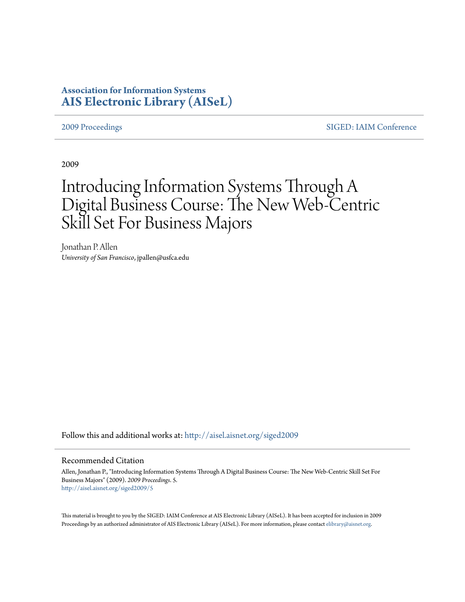# **Association for Information Systems [AIS Electronic Library \(AISeL\)](http://aisel.aisnet.org?utm_source=aisel.aisnet.org%2Fsiged2009%2F5&utm_medium=PDF&utm_campaign=PDFCoverPages)**

[2009 Proceedings](http://aisel.aisnet.org/siged2009?utm_source=aisel.aisnet.org%2Fsiged2009%2F5&utm_medium=PDF&utm_campaign=PDFCoverPages) [SIGED: IAIM Conference](http://aisel.aisnet.org/siged?utm_source=aisel.aisnet.org%2Fsiged2009%2F5&utm_medium=PDF&utm_campaign=PDFCoverPages)

2009

# Introducing Information Systems Through A Digital Business Course: The New Web-Centric Skill Set For Business Majors

Jonathan P. Allen *University of San Francisco*, jpallen@usfca.edu

Follow this and additional works at: [http://aisel.aisnet.org/siged2009](http://aisel.aisnet.org/siged2009?utm_source=aisel.aisnet.org%2Fsiged2009%2F5&utm_medium=PDF&utm_campaign=PDFCoverPages)

#### Recommended Citation

Allen, Jonathan P., "Introducing Information Systems Through A Digital Business Course: The New Web-Centric Skill Set For Business Majors" (2009). *2009 Proceedings*. 5. [http://aisel.aisnet.org/siged2009/5](http://aisel.aisnet.org/siged2009/5?utm_source=aisel.aisnet.org%2Fsiged2009%2F5&utm_medium=PDF&utm_campaign=PDFCoverPages)

This material is brought to you by the SIGED: IAIM Conference at AIS Electronic Library (AISeL). It has been accepted for inclusion in 2009 Proceedings by an authorized administrator of AIS Electronic Library (AISeL). For more information, please contact [elibrary@aisnet.org](mailto:elibrary@aisnet.org%3E).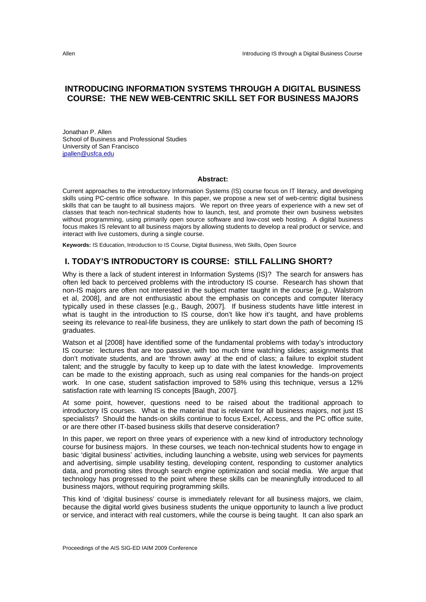# **INTRODUCING INFORMATION SYSTEMS THROUGH A DIGITAL BUSINESS COURSE: THE NEW WEB-CENTRIC SKILL SET FOR BUSINESS MAJORS**

Jonathan P. Allen School of Business and Professional Studies University of San Francisco jpallen@usfca.edu

#### **Abstract:**

Current approaches to the introductory Information Systems (IS) course focus on IT literacy, and developing skills using PC-centric office software. In this paper, we propose a new set of web-centric digital business skills that can be taught to all business majors. We report on three years of experience with a new set of classes that teach non-technical students how to launch, test, and promote their own business websites without programming, using primarily open source software and low-cost web hosting. A digital business focus makes IS relevant to all business majors by allowing students to develop a real product or service, and interact with live customers, during a single course.

**Keywords:** IS Education, Introduction to IS Course, Digital Business, Web Skills, Open Source

### **I. TODAY'S INTRODUCTORY IS COURSE: STILL FALLING SHORT?**

Why is there a lack of student interest in Information Systems (IS)? The search for answers has often led back to perceived problems with the introductory IS course. Research has shown that non-IS majors are often not interested in the subject matter taught in the course [e.g., Walstrom et al, 2008], and are not enthusiastic about the emphasis on concepts and computer literacy typically used in these classes [e.g., Baugh, 2007]. If business students have little interest in what is taught in the introduction to IS course, don't like how it's taught, and have problems seeing its relevance to real-life business, they are unlikely to start down the path of becoming IS graduates.

Watson et al [2008] have identified some of the fundamental problems with today's introductory IS course: lectures that are too passive, with too much time watching slides; assignments that don't motivate students, and are 'thrown away' at the end of class; a failure to exploit student talent; and the struggle by faculty to keep up to date with the latest knowledge. Improvements can be made to the existing approach, such as using real companies for the hands-on project work. In one case, student satisfaction improved to 58% using this technique, versus a 12% satisfaction rate with learning IS concepts [Baugh, 2007].

At some point, however, questions need to be raised about the traditional approach to introductory IS courses. What is the material that is relevant for all business majors, not just IS specialists? Should the hands-on skills continue to focus Excel, Access, and the PC office suite, or are there other IT-based business skills that deserve consideration?

In this paper, we report on three years of experience with a new kind of introductory technology course for business majors. In these courses, we teach non-technical students how to engage in basic 'digital business' activities, including launching a website, using web services for payments and advertising, simple usability testing, developing content, responding to customer analytics data, and promoting sites through search engine optimization and social media. We argue that technology has progressed to the point where these skills can be meaningfully introduced to all business majors, without requiring programming skills.

This kind of 'digital business' course is immediately relevant for all business majors, we claim, because the digital world gives business students the unique opportunity to launch a live product or service, and interact with real customers, while the course is being taught. It can also spark an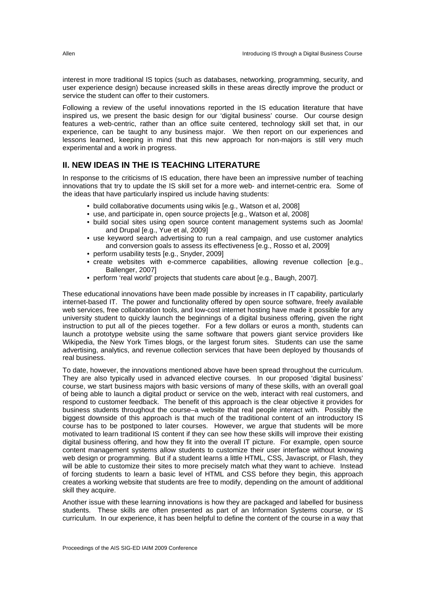interest in more traditional IS topics (such as databases, networking, programming, security, and user experience design) because increased skills in these areas directly improve the product or service the student can offer to their customers.

Following a review of the useful innovations reported in the IS education literature that have inspired us, we present the basic design for our 'digital business' course. Our course design features a web-centric, rather than an office suite centered, technology skill set that, in our experience, can be taught to any business major. We then report on our experiences and lessons learned, keeping in mind that this new approach for non-majors is still very much experimental and a work in progress.

# **II. NEW IDEAS IN THE IS TEACHING LITERATURE**

In response to the criticisms of IS education, there have been an impressive number of teaching innovations that try to update the IS skill set for a more web- and internet-centric era. Some of the ideas that have particularly inspired us include having students:

- build collaborative documents using wikis [e.g., Watson et al, 2008]
- use, and participate in, open source projects [e.g., Watson et al, 2008]
- build social sites using open source content management systems such as Joomla! and Drupal [e.g., Yue et al, 2009]
- use keyword search advertising to run a real campaign, and use customer analytics and conversion goals to assess its effectiveness [e.g., Rosso et al, 2009]
- perform usability tests [e.g., Snyder, 2009]
- create websites with e-commerce capabilities, allowing revenue collection [e.g., Ballenger, 2007]
- perform 'real world' projects that students care about [e.g., Baugh, 2007].

These educational innovations have been made possible by increases in IT capability, particularly internet-based IT. The power and functionality offered by open source software, freely available web services, free collaboration tools, and low-cost internet hosting have made it possible for any university student to quickly launch the beginnings of a digital business offering, given the right instruction to put all of the pieces together. For a few dollars or euros a month, students can launch a prototype website using the same software that powers giant service providers like Wikipedia, the New York Times blogs, or the largest forum sites. Students can use the same advertising, analytics, and revenue collection services that have been deployed by thousands of real business.

To date, however, the innovations mentioned above have been spread throughout the curriculum. They are also typically used in advanced elective courses. In our proposed 'digital business' course, we start business majors with basic versions of many of these skills, with an overall goal of being able to launch a digital product or service on the web, interact with real customers, and respond to customer feedback. The benefit of this approach is the clear objective it provides for business students throughout the course–a website that real people interact with. Possibly the biggest downside of this approach is that much of the traditional content of an introductory IS course has to be postponed to later courses. However, we argue that students will be more motivated to learn traditional IS content if they can see how these skills will improve their existing digital business offering, and how they fit into the overall IT picture. For example, open source content management systems allow students to customize their user interface without knowing web design or programming. But if a student learns a little HTML, CSS, Javascript, or Flash, they will be able to customize their sites to more precisely match what they want to achieve. Instead of forcing students to learn a basic level of HTML and CSS before they begin, this approach creates a working website that students are free to modify, depending on the amount of additional skill they acquire.

Another issue with these learning innovations is how they are packaged and labelled for business students. These skills are often presented as part of an Information Systems course, or IS curriculum. In our experience, it has been helpful to define the content of the course in a way that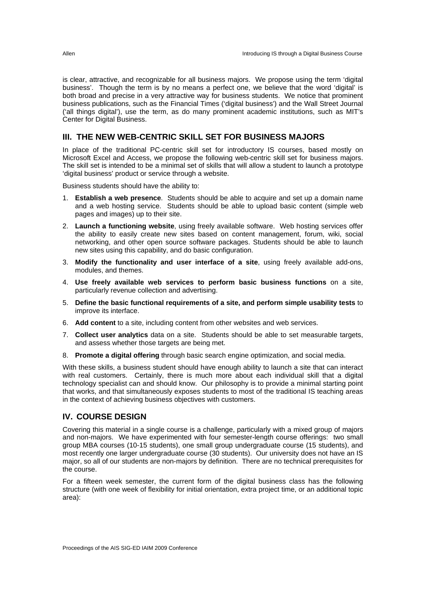is clear, attractive, and recognizable for all business majors. We propose using the term 'digital business'. Though the term is by no means a perfect one, we believe that the word 'digital' is both broad and precise in a very attractive way for business students. We notice that prominent business publications, such as the Financial Times ('digital business') and the Wall Street Journal ('all things digital'), use the term, as do many prominent academic institutions, such as MIT's Center for Digital Business.

# **III. THE NEW WEB-CENTRIC SKILL SET FOR BUSINESS MAJORS**

In place of the traditional PC-centric skill set for introductory IS courses, based mostly on Microsoft Excel and Access, we propose the following web-centric skill set for business majors. The skill set is intended to be a minimal set of skills that will allow a student to launch a prototype 'digital business' product or service through a website.

Business students should have the ability to:

- 1. **Establish a web presence**. Students should be able to acquire and set up a domain name and a web hosting service. Students should be able to upload basic content (simple web pages and images) up to their site.
- 2. **Launch a functioning website**, using freely available software. Web hosting services offer the ability to easily create new sites based on content management, forum, wiki, social networking, and other open source software packages. Students should be able to launch new sites using this capability, and do basic configuration.
- 3. **Modify the functionality and user interface of a site**, using freely available add-ons, modules, and themes.
- 4. **Use freely available web services to perform basic business functions** on a site, particularly revenue collection and advertising.
- 5. **Define the basic functional requirements of a site, and perform simple usability tests** to improve its interface.
- 6. **Add content** to a site, including content from other websites and web services.
- 7. **Collect user analytics** data on a site. Students should be able to set measurable targets, and assess whether those targets are being met.
- 8. **Promote a digital offering** through basic search engine optimization, and social media.

With these skills, a business student should have enough ability to launch a site that can interact with real customers. Certainly, there is much more about each individual skill that a digital technology specialist can and should know. Our philosophy is to provide a minimal starting point that works, and that simultaneously exposes students to most of the traditional IS teaching areas in the context of achieving business objectives with customers.

## **IV. COURSE DESIGN**

Covering this material in a single course is a challenge, particularly with a mixed group of majors and non-majors. We have experimented with four semester-length course offerings: two small group MBA courses (10-15 students), one small group undergraduate course (15 students), and most recently one larger undergraduate course (30 students). Our university does not have an IS major, so all of our students are non-majors by definition. There are no technical prerequisites for the course.

For a fifteen week semester, the current form of the digital business class has the following structure (with one week of flexibility for initial orientation, extra project time, or an additional topic area):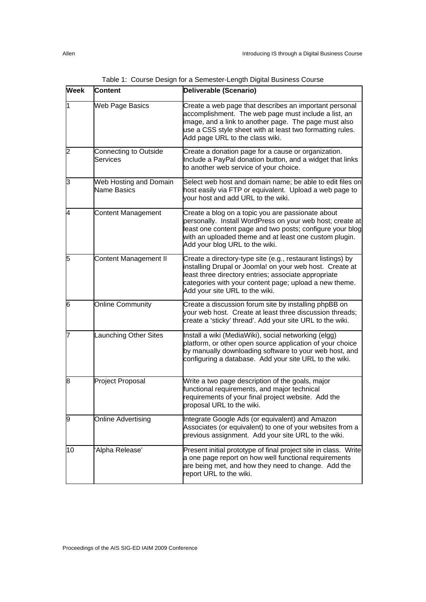| <b>Week</b> | <b>Content</b>                        | Deliverable (Scenario)                                                                                                                                                                                                                                                      |
|-------------|---------------------------------------|-----------------------------------------------------------------------------------------------------------------------------------------------------------------------------------------------------------------------------------------------------------------------------|
| l1          | Web Page Basics                       | Create a web page that describes an important personal<br>accomplishment. The web page must include a list, an<br>image, and a link to another page. The page must also<br>use a CSS style sheet with at least two formatting rules.<br>Add page URL to the class wiki.     |
| 12          | Connecting to Outside<br>Services     | Create a donation page for a cause or organization.<br>Include a PayPal donation button, and a widget that links<br>to another web service of your choice.                                                                                                                  |
| ß           | Web Hosting and Domain<br>Name Basics | Select web host and domain name; be able to edit files on<br>host easily via FTP or equivalent. Upload a web page to<br>vour host and add URL to the wiki.                                                                                                                  |
| 4           | <b>Content Management</b>             | Create a blog on a topic you are passionate about<br>personally. Install WordPress on your web host; create at<br>least one content page and two posts; configure your blog<br>with an uploaded theme and at least one custom plugin.<br>Add your blog URL to the wiki.     |
| 5           | <b>Content Management II</b>          | Create a directory-type site (e.g., restaurant listings) by<br>installing Drupal or Joomla! on your web host. Create at<br>least three directory entries; associate appropriate<br>categories with your content page; upload a new theme.<br>Add your site URL to the wiki. |
| 6           | <b>Online Community</b>               | Create a discussion forum site by installing phpBB on<br>your web host. Create at least three discussion threads;<br>create a 'sticky' thread'. Add your site URL to the wiki.                                                                                              |
| 7           | Launching Other Sites                 | Install a wiki (MediaWiki), social networking (elgg)<br>platform, or other open source application of your choice<br>by manually downloading software to your web host, and<br>configuring a database. Add your site URL to the wiki.                                       |
| 8           | <b>Project Proposal</b>               | Write a two page description of the goals, major<br>functional requirements, and major technical<br>requirements of your final project website. Add the<br>proposal URL to the wiki.                                                                                        |
| 9           | <b>Online Advertising</b>             | Integrate Google Ads (or equivalent) and Amazon<br>Associates (or equivalent) to one of your websites from a<br>previous assignment. Add your site URL to the wiki.                                                                                                         |
| 10          | Alpha Release'                        | Present initial prototype of final project site in class. Write<br>a one page report on how well functional requirements<br>are being met, and how they need to change. Add the<br>report URL to the wiki.                                                                  |

Table 1: Course Design for a Semester-Length Digital Business Course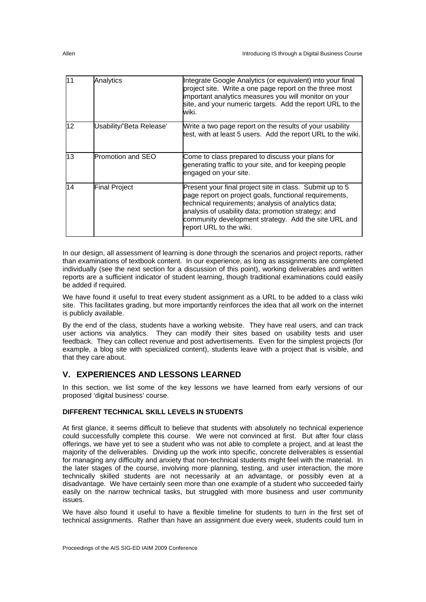| $\overline{11}$ | Analytics                | Integrate Google Analytics (or equivalent) into your final<br>project site. Write a one page report on the three most<br>important analytics measures you will monitor on your<br>site, and your numeric targets. Add the report URL to the<br>wiki.                                                                |
|-----------------|--------------------------|---------------------------------------------------------------------------------------------------------------------------------------------------------------------------------------------------------------------------------------------------------------------------------------------------------------------|
| 12              | Usability/'Beta Release' | Write a two page report on the results of your usability<br>test, with at least 5 users. Add the report URL to the wiki.                                                                                                                                                                                            |
| 13              | <b>Promotion and SEO</b> | Come to class prepared to discuss your plans for<br>generating traffic to your site, and for keeping people<br>engaged on your site.                                                                                                                                                                                |
| 14              | <b>Final Project</b>     | Present your final project site in class. Submit up to 5<br>page report on project goals, functional requirements,<br>technical requirements; analysis of analytics data;<br>analysis of usability data; promotion strategy; and<br>community development strategy. Add the site URL and<br>report URL to the wiki. |

In our design, all assessment of learning is done through the scenarios and project reports, rather than examinations of textbook content. In our experience, as long as assignments are completed individually (see the next section for a discussion of this point), working deliverables and written reports are a sufficient indicator of student learning, though traditional examinations could easily be added if required.

We have found it useful to treat every student assignment as a URL to be added to a class wiki site. This facilitates grading, but more importantly reinforces the idea that all work on the internet is publicly available.

By the end of the class, students have a working website. They have real users, and can track user actions via analytics. They can modify their sites based on usability tests and user feedback. They can collect revenue and post advertisements. Even for the simplest projects (for example, a blog site with specialized content), students leave with a project that is visible, and that they care about.

# **V. EXPERIENCES AND LESSONS LEARNED**

In this section, we list some of the key lessons we have learned from early versions of our proposed 'digital business' course.

#### **DIFFERENT TECHNICAL SKILL LEVELS IN STUDENTS**

At first glance, it seems difficult to believe that students with absolutely no technical experience could successfully complete this course. We were not convinced at first. But after four class offerings, we have yet to see a student who was not able to complete a project, and at least the majority of the deliverables. Dividing up the work into specific, concrete deliverables is essential for managing any difficulty and anxiety that non-technical students might feel with the material. In the later stages of the course, involving more planning, testing, and user interaction, the more technically skilled students are not necessarily at an advantage, or possibly even at a disadvantage. We have certainly seen more than one example of a student who succeeded fairly easily on the narrow technical tasks, but struggled with more business and user community issues.

We have also found it useful to have a flexible timeline for students to turn in the first set of technical assignments. Rather than have an assignment due every week, students could turn in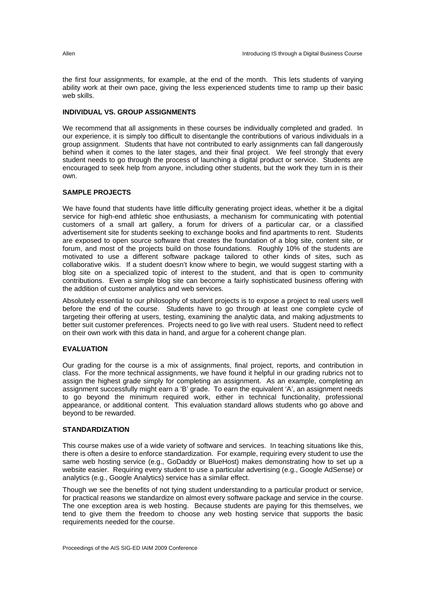the first four assignments, for example, at the end of the month. This lets students of varying ability work at their own pace, giving the less experienced students time to ramp up their basic web skills.

#### **INDIVIDUAL VS. GROUP ASSIGNMENTS**

We recommend that all assignments in these courses be individually completed and graded. In our experience, it is simply too difficult to disentangle the contributions of various individuals in a group assignment. Students that have not contributed to early assignments can fall dangerously behind when it comes to the later stages, and their final project. We feel strongly that every student needs to go through the process of launching a digital product or service. Students are encouraged to seek help from anyone, including other students, but the work they turn in is their own.

#### **SAMPLE PROJECTS**

We have found that students have little difficulty generating project ideas, whether it be a digital service for high-end athletic shoe enthusiasts, a mechanism for communicating with potential customers of a small art gallery, a forum for drivers of a particular car, or a classified advertisement site for students seeking to exchange books and find apartments to rent. Students are exposed to open source software that creates the foundation of a blog site, content site, or forum, and most of the projects build on those foundations. Roughly 10% of the students are motivated to use a different software package tailored to other kinds of sites, such as collaborative wikis. If a student doesn't know where to begin, we would suggest starting with a blog site on a specialized topic of interest to the student, and that is open to community contributions. Even a simple blog site can become a fairly sophisticated business offering with the addition of customer analytics and web services.

Absolutely essential to our philosophy of student projects is to expose a project to real users well before the end of the course. Students have to go through at least one complete cycle of targeting their offering at users, testing, examining the analytic data, and making adjustments to better suit customer preferences. Projects need to go live with real users. Student need to reflect on their own work with this data in hand, and argue for a coherent change plan.

#### **EVALUATION**

Our grading for the course is a mix of assignments, final project, reports, and contribution in class. For the more technical assignments, we have found it helpful in our grading rubrics not to assign the highest grade simply for completing an assignment. As an example, completing an assignment successfully might earn a 'B' grade. To earn the equivalent 'A', an assignment needs to go beyond the minimum required work, either in technical functionality, professional appearance, or additional content. This evaluation standard allows students who go above and beyond to be rewarded.

#### **STANDARDIZATION**

This course makes use of a wide variety of software and services. In teaching situations like this, there is often a desire to enforce standardization. For example, requiring every student to use the same web hosting service (e.g., GoDaddy or BlueHost) makes demonstrating how to set up a website easier. Requiring every student to use a particular advertising (e.g., Google AdSense) or analytics (e.g., Google Analytics) service has a similar effect.

Though we see the benefits of not tying student understanding to a particular product or service, for practical reasons we standardize on almost every software package and service in the course. The one exception area is web hosting. Because students are paying for this themselves, we tend to give them the freedom to choose any web hosting service that supports the basic requirements needed for the course.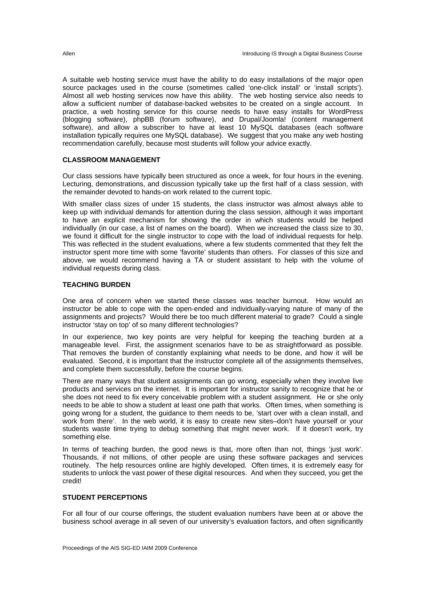A suitable web hosting service must have the ability to do easy installations of the major open source packages used in the course (sometimes called 'one-click install' or 'install scripts'). Almost all web hosting services now have this ability. The web hosting service also needs to allow a sufficient number of database-backed websites to be created on a single account. In practice, a web hosting service for this course needs to have easy installs for WordPress (blogging software), phpBB (forum software), and Drupal/Joomla! (content management software), and allow a subscriber to have at least 10 MySQL databases (each software installation typically requires one MySQL database). We suggest that you make any web hosting recommendation carefully, because most students will follow your advice exactly.

#### **CLASSROOM MANAGEMENT**

Our class sessions have typically been structured as once a week, for four hours in the evening. Lecturing, demonstrations, and discussion typically take up the first half of a class session, with the remainder devoted to hands-on work related to the current topic.

With smaller class sizes of under 15 students, the class instructor was almost always able to keep up with individual demands for attention during the class session, although it was important to have an explicit mechanism for showing the order in which students would be helped individually (in our case, a list of names on the board). When we increased the class size to 30, we found it difficult for the single instructor to cope with the load of individual requests for help. This was reflected in the student evaluations, where a few students commented that they felt the instructor spent more time with some 'favorite' students than others. For classes of this size and above, we would recommend having a TA or student assistant to help with the volume of individual requests during class.

#### **TEACHING BURDEN**

One area of concern when we started these classes was teacher burnout. How would an instructor be able to cope with the open-ended and individually-varying nature of many of the assignments and projects? Would there be too much different material to grade? Could a single instructor 'stay on top' of so many different technologies?

In our experience, two key points are very helpful for keeping the teaching burden at a manageable level. First, the assignment scenarios have to be as straightforward as possible. That removes the burden of constantly explaining what needs to be done, and how it will be evaluated. Second, it is important that the instructor complete all of the assignments themselves, and complete them successfully, before the course begins.

There are many ways that student assignments can go wrong, especially when they involve live products and services on the internet. It is important for instructor sanity to recognize that he or she does not need to fix every conceivable problem with a student assignment. He or she only needs to be able to show a student at least one path that works. Often times, when something is going wrong for a student, the guidance to them needs to be, 'start over with a clean install, and work from there'. In the web world, it is easy to create new sites–don't have yourself or your students waste time trying to debug something that might never work. If it doesn't work, try something else.

In terms of teaching burden, the good news is that, more often than not, things 'just work'. Thousands, if not millions, of other people are using these software packages and services routinely. The help resources online are highly developed. Often times, it is extremely easy for students to unlock the vast power of these digital resources. And when they succeed, you get the credit!

#### **STUDENT PERCEPTIONS**

For all four of our course offerings, the student evaluation numbers have been at or above the business school average in all seven of our university's evaluation factors, and often significantly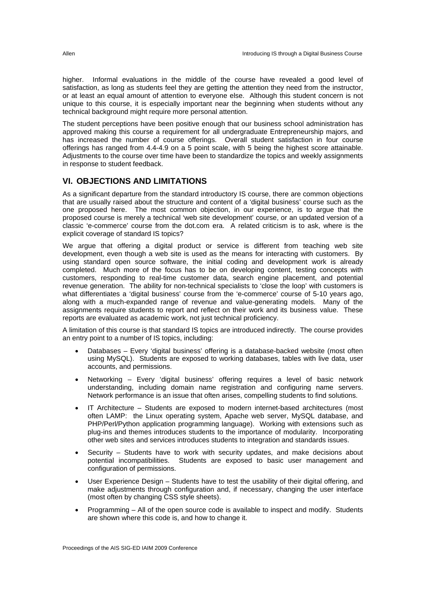higher. Informal evaluations in the middle of the course have revealed a good level of satisfaction, as long as students feel they are getting the attention they need from the instructor, or at least an equal amount of attention to everyone else. Although this student concern is not unique to this course, it is especially important near the beginning when students without any technical background might require more personal attention.

The student perceptions have been positive enough that our business school administration has approved making this course a requirement for all undergraduate Entrepreneurship majors, and has increased the number of course offerings. Overall student satisfaction in four course offerings has ranged from 4.4-4.9 on a 5 point scale, with 5 being the highest score attainable. Adjustments to the course over time have been to standardize the topics and weekly assignments in response to student feedback.

# **VI. OBJECTIONS AND LIMITATIONS**

As a significant departure from the standard introductory IS course, there are common objections that are usually raised about the structure and content of a 'digital business' course such as the one proposed here. The most common objection, in our experience, is to argue that the proposed course is merely a technical 'web site development' course, or an updated version of a classic 'e-commerce' course from the dot.com era. A related criticism is to ask, where is the explicit coverage of standard IS topics?

We argue that offering a digital product or service is different from teaching web site development, even though a web site is used as the means for interacting with customers. By using standard open source software, the initial coding and development work is already completed. Much more of the focus has to be on developing content, testing concepts with customers, responding to real-time customer data, search engine placement, and potential revenue generation. The ability for non-technical specialists to 'close the loop' with customers is what differentiates a 'digital business' course from the 'e-commerce' course of 5-10 years ago, along with a much-expanded range of revenue and value-generating models. Many of the assignments require students to report and reflect on their work and its business value. These reports are evaluated as academic work, not just technical proficiency.

A limitation of this course is that standard IS topics are introduced indirectly. The course provides an entry point to a number of IS topics, including:

- Databases Every 'digital business' offering is a database-backed website (most often using MySQL). Students are exposed to working databases, tables with live data, user accounts, and permissions.
- Networking Every 'digital business' offering requires a level of basic network understanding, including domain name registration and configuring name servers. Network performance is an issue that often arises, compelling students to find solutions.
- IT Architecture Students are exposed to modern internet-based architectures (most often LAMP: the Linux operating system, Apache web server, MySQL database, and PHP/Perl/Python application programming language). Working with extensions such as plug-ins and themes introduces students to the importance of modularity. Incorporating other web sites and services introduces students to integration and standards issues.
- Security Students have to work with security updates, and make decisions about potential incompatibilities. Students are exposed to basic user management and configuration of permissions.
- User Experience Design Students have to test the usability of their digital offering, and make adjustments through configuration and, if necessary, changing the user interface (most often by changing CSS style sheets).
- Programming All of the open source code is available to inspect and modify. Students are shown where this code is, and how to change it.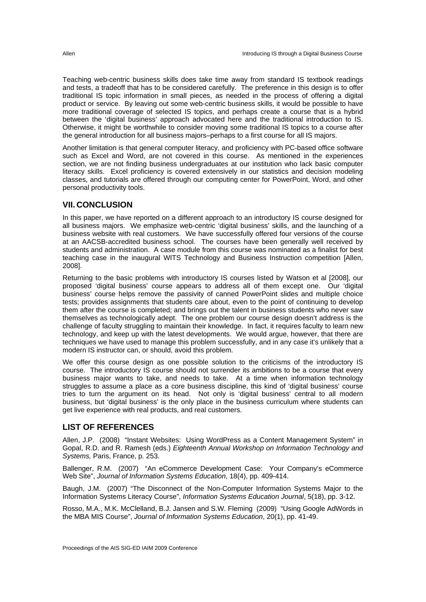Teaching web-centric business skills does take time away from standard IS textbook readings and tests, a tradeoff that has to be considered carefully. The preference in this design is to offer traditional IS topic information in small pieces, as needed in the process of offering a digital product or service. By leaving out some web-centric business skills, it would be possible to have more traditional coverage of selected IS topics, and perhaps create a course that is a hybrid between the 'digital business' approach advocated here and the traditional introduction to IS. Otherwise, it might be worthwhile to consider moving some traditional IS topics to a course after the general introduction for all business majors–perhaps to a first course for all IS majors.

Another limitation is that general computer literacy, and proficiency with PC-based office software such as Excel and Word, are not covered in this course. As mentioned in the experiences section, we are not finding business undergraduates at our institution who lack basic computer literacy skills. Excel proficiency is covered extensively in our statistics and decision modeling classes, and tutorials are offered through our computing center for PowerPoint, Word, and other personal productivity tools.

# **VII. CONCLUSION**

In this paper, we have reported on a different approach to an introductory IS course designed for all business majors. We emphasize web-centric 'digital business' skills, and the launching of a business website with real customers. We have successfully offered four versions of the course at an AACSB-accredited business school. The courses have been generally well received by students and administration. A case module from this course was nominated as a finalist for best teaching case in the inaugural WITS Technology and Business Instruction competition [Allen, 2008].

Returning to the basic problems with introductory IS courses listed by Watson et al [2008], our proposed 'digital business' course appears to address all of them except one. Our 'digital business' course helps remove the passivity of canned PowerPoint slides and multiple choice tests; provides assignments that students care about, even to the point of continuing to develop them after the course is completed; and brings out the talent in business students who never saw themselves as technologically adept. The one problem our course design doesn't address is the challenge of faculty struggling to maintain their knowledge. In fact, it requires faculty to learn new technology, and keep up with the latest developments. We would argue, however, that there are techniques we have used to manage this problem successfully, and in any case it's unlikely that a modern IS instructor can, or should, avoid this problem.

We offer this course design as one possible solution to the criticisms of the introductory IS course. The introductory IS course should not surrender its ambitions to be a course that every business major wants to take, and needs to take. At a time when information technology struggles to assume a place as a core business discipline, this kind of 'digital business' course tries to turn the argument on its head. Not only is 'digital business' central to all modern business, but 'digital business' is the only place in the business curriculum where students can get live experience with real products, and real customers.

# **LIST OF REFERENCES**

Allen, J.P. (2008) "Instant Websites: Using WordPress as a Content Management System" in Gopal, R.D. and R. Ramesh (eds.) *Eighteenth Annual Workshop on Information Technology and Systems,* Paris, France, p. 253.

Ballenger, R.M. (2007) "An eCommerce Development Case: Your Company's eCommerce Web Site", *Journal of Information Systems Education*, 18(4), pp. 409-414.

Baugh, J.M. (2007) "The Disconnect of the Non-Computer Information Systems Major to the Information Systems Literacy Course", *Information Systems Education Journal*, 5(18), pp. 3-12.

Rosso, M.A., M.K. McClelland, B.J. Jansen and S.W. Fleming (2009) "Using Google AdWords in the MBA MIS Course", *Journal of Information Systems Education*, 20(1), pp. 41-49.